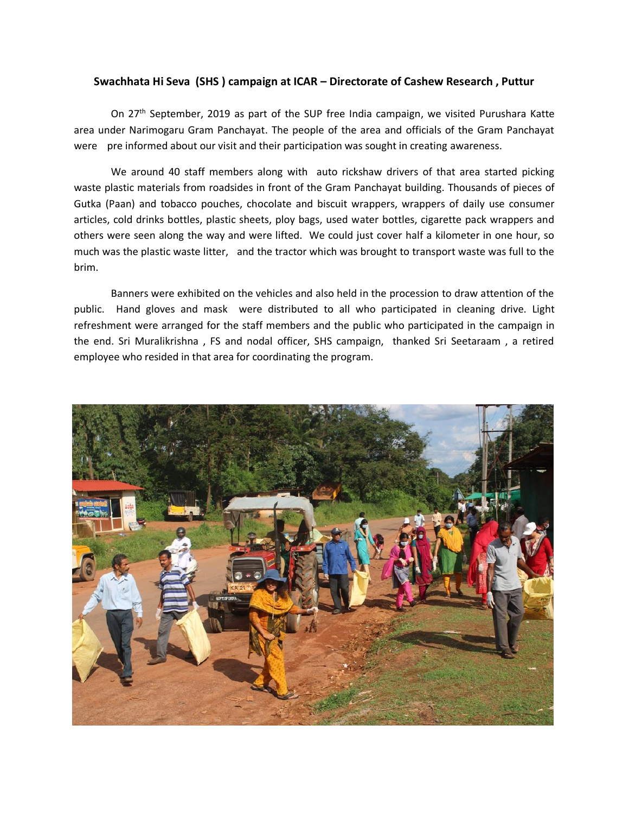## **Swachhata Hi Seva (SHS ) campaign at ICAR – Directorate of Cashew Research , Puttur**

On 27<sup>th</sup> September, 2019 as part of the SUP free India campaign, we visited Purushara Katte area under Narimogaru Gram Panchayat. The people of the area and officials of the Gram Panchayat were pre informed about our visit and their participation was sought in creating awareness.

We around 40 staff members along with auto rickshaw drivers of that area started picking waste plastic materials from roadsides in front of the Gram Panchayat building. Thousands of pieces of Gutka (Paan) and tobacco pouches, chocolate and biscuit wrappers, wrappers of daily use consumer articles, cold drinks bottles, plastic sheets, ploy bags, used water bottles, cigarette pack wrappers and others were seen along the way and were lifted. We could just cover half a kilometer in one hour, so much was the plastic waste litter, and the tractor which was brought to transport waste was full to the brim.

Banners were exhibited on the vehicles and also held in the procession to draw attention of the public. Hand gloves and mask were distributed to all who participated in cleaning drive. Light refreshment were arranged for the staff members and the public who participated in the campaign in the end. Sri Muralikrishna , FS and nodal officer, SHS campaign, thanked Sri Seetaraam , a retired employee who resided in that area for coordinating the program.